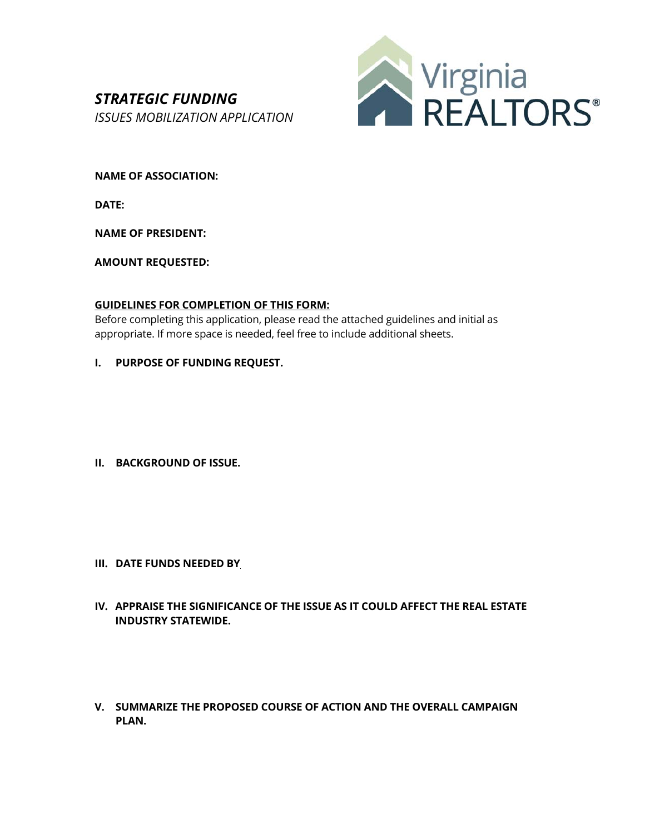## *STRATEGIC FUNDING ISSUES MOBILIZATION APPLICATION*



**NAME OF ASSOCIATION:** 

**DATE:** 

**NAME OF PRESIDENT:**

**AMOUNT REQUESTED:** 

## **GUIDELINES FOR COMPLETION OF THIS FORM:**

Before completing this application, please read the attached guidelines and initial as appropriate. If more space is needed, feel free to include additional sheets.

**I. PURPOSE OF FUNDING REQUEST.** 

**II. BACKGROUND OF ISSUE.** 

- **III. DATE FUNDS NEEDED BY**
- **IV. APPRAISE THE SIGNIFICANCE OF THE ISSUE AS IT COULD AFFECT THE REAL ESTATE INDUSTRY STATEWIDE.**
- **V. SUMMARIZE THE PROPOSED COURSE OF ACTION AND THE OVERALL CAMPAIGN PLAN.**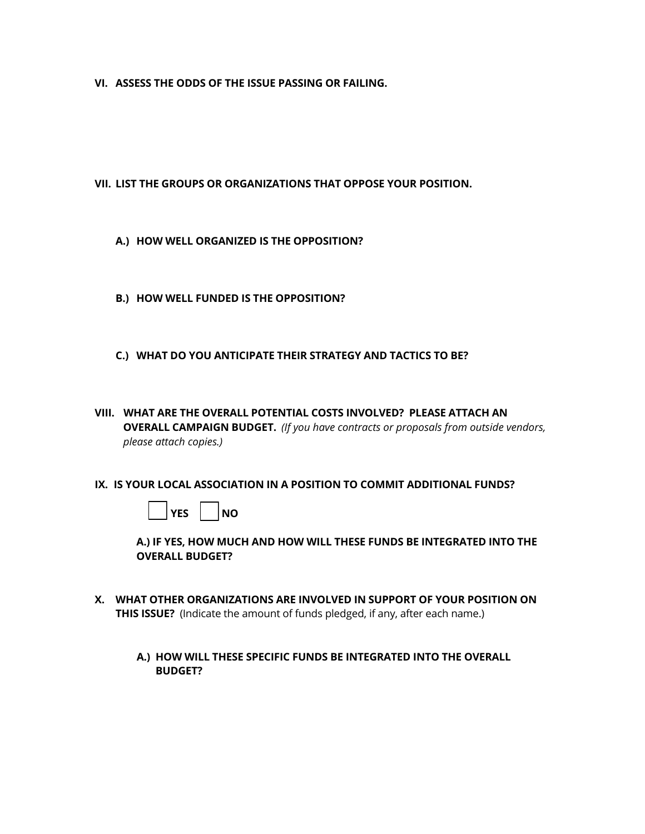**VI. ASSESS THE ODDS OF THE ISSUE PASSING OR FAILING.** 

**VII. LIST THE GROUPS OR ORGANIZATIONS THAT OPPOSE YOUR POSITION.** 

- **A.) HOW WELL ORGANIZED IS THE OPPOSITION?**
- **B.) HOW WELL FUNDED IS THE OPPOSITION?**
- **C.) WHAT DO YOU ANTICIPATE THEIR STRATEGY AND TACTICS TO BE?**
- **VIII. WHAT ARE THE OVERALL POTENTIAL COSTS INVOLVED? PLEASE ATTACH AN OVERALL CAMPAIGN BUDGET.** *(If you have contracts or proposals from outside vendors, please attach copies.)*
- **IX. IS YOUR LOCAL ASSOCIATION IN A POSITION TO COMMIT ADDITIONAL FUNDS?**



 **A.) IF YES, HOW MUCH AND HOW WILL THESE FUNDS BE INTEGRATED INTO THE OVERALL BUDGET?** 

- **X. WHAT OTHER ORGANIZATIONS ARE INVOLVED IN SUPPORT OF YOUR POSITION ON THIS ISSUE?** (Indicate the amount of funds pledged, if any, after each name.)
	- **A.) HOW WILL THESE SPECIFIC FUNDS BE INTEGRATED INTO THE OVERALL BUDGET?**